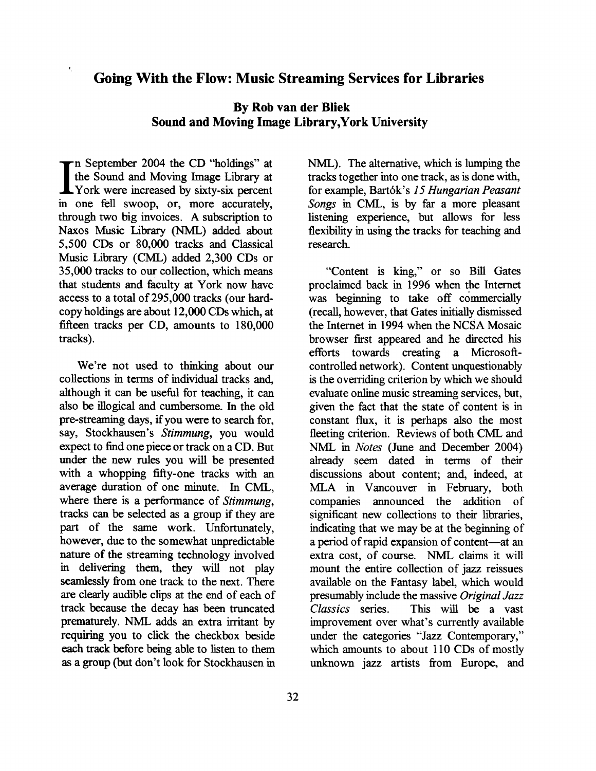## **Going With the Flow: Music Streaming Services for Libraries**

## **By Rob van der Bliek Sound and Moving Image Library,York University**

In September 2004 the CD "holdings" at<br>the Sound and Moving Image Library at<br>York were increased by sixty-six percent<br>in one fell swoop or more accurately the Sound and Moving Image Library at York were increased by sixty-six percent in one fell swoop, or, more accurately, through two big invoices. **A** subscription to Naxos Music Library **(NML)** added about 5,500 CDs or 80,000 tracks and Classical Music Library (CML) added 2,300 CDs or 35,000 tracks to our collection, which means that students and faculty at York now have access to a total of 295,000 tracks (our hardcopy holdings are about 12,000 CDs which, at fifteen tracks per CD, amounts to 180,000 tracks).

We're not used to thinking about our collections in terms of individual tracks **and,**  although it can be useful for teaching, it can also be illogical and cumbersome. In the old pre-streaming days, if you were to search for, say, Stockhausen's Stimmung, you would expect to find one piece or track on a CD. But under the new rules you will be presented with a whopping fifty-one tracks with an average duration of one minute. In CML, where there is a performance of *Stimmung*, tracks can be selected as a group if they are part of the same work. Unfortunately, however, due to the somewhat unpredictable nature of the streaming technology involved in delivering them, they will not play seamlessly fiom one track to the next. There are clearly audible clips at the end of each of track because the decay has been truncated prematurely. NML adds an extra irritant by requiring you to click the checkbox beside each track before being able to listen to them as a group (but don't look for Stockhausen in **NML).** The alternative, which is lumping the tracks together into one track, as is done with, for example, Bart6k's **15** Hungarian Peasant Songs in CML, is by far a more pleasant listening experience, but allows for less flexibility in using the tracks for teaching and research.

"Content is king," or so Bill Gates proclaimed back in 1996 when the Internet was beginning to take off commercially (recall, however, that Gates initially dismissed the Internet in 1994 when the NCSA Mosaic browser first appeared and he directed his efforts towards creating a Microsoftcontrolled network). Content unquestionably is the overriding criterion by which we should evaluate online music streaming services, but, given the fact that the state of content is in constant flux, it is perhaps also the most fleeting criterion. Reviews of both CML and NML in Notes (June and December 2004) already seem dated in terms of their discussions about content; and, indeed, at MLA in Vancouver in February, both companies announced the addition of significant new collections to their libraries, indicating that we may be at the beginning of a period of rapid expansion of content-at an extra cost, of course. NML claims it will mount the entire collection of jazz reissues available on the Fantasy label, which would presumably include the massive Original Jazz Classics series. This will be a vast improvement over what's currently available under the categories "Jazz Contemporary," which amounts to about 110 CDs of mostly unknown jazz artists from Europe, and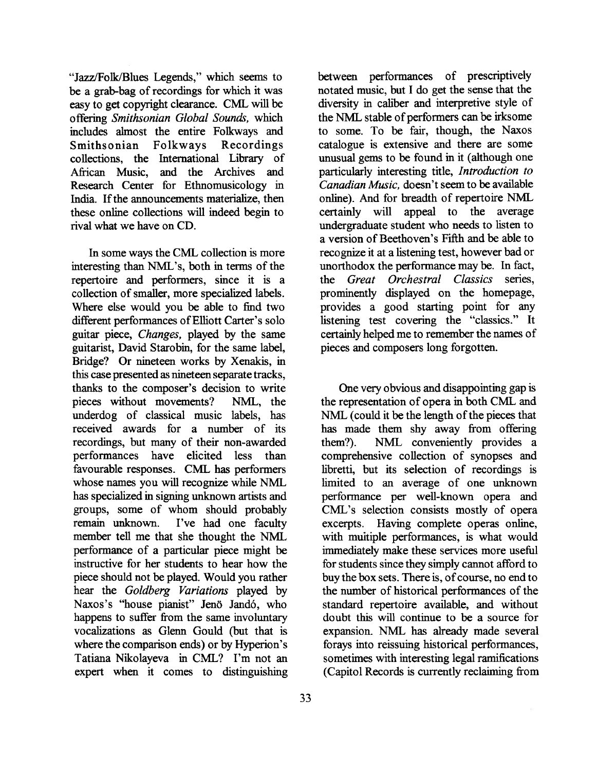"Jazz/Folk/Blues Legends," which seems to be a grab-bag of recordings for which it was easy to get copyright clearance. CML *will* be offering *Smithsonian Global Soundi,* which includes almost the entire Folkways and Smithsonian Folkways Recordings collections, the International Library of African Music, and the Archives and Research Center for Ethnomusicology in India. If the announcements materialize, then these online collections will indeed begin to rival what we have on CD.

In some ways the CML collection is more interesting than NML's, both in terms of the repertoire and performers, since it is a collection of smaller, more specialized labels. Where else would you be able to find two different performances of Elliott Carter's solo guitar piece, *Changes,* played by the same guitarist, David Starobin, for the same label, Bridge? Or nineteen works by Xenakis, in this case presented as nineteen separate tracks, thanks to the composer's decision to write pieces without movements? **NML,** the underdog of classical music labels, has received awards for a number of its recordings, but many of their non-awarded performances have elicited less than favourable responses. CML has performers whose names you will recognize while NML has specialized in signing unknown artists and groups, some of whom should probably<br>remain unknown. I've had one faculty I've had one faculty member tell me that she thought the NML performance of a particular piece might be instructive for her students to hear how the piece should not be played. Would you rather hear the *Goldberg Variations* played by Naxos's "house pianist" Jenö Jandó, who happens to suffer from the same involuntary vocalizations as Glenn Gould (but that is where the comparison ends) or by Hyperion's Tatiana Nikolayeva in CML? I'm not an expert when it comes to distinguishing

between performances of prescriptively notated music, but I do get the sense that the diversity in caliber and interpretive style of the NML stable of performers can be irksome to some. To be fair, though, the Naxos catalogue is extensive and there are some unusual gems to be found in it (although one particularly interesting title, *Introduction to Canadian Music,* doesn't seem to be available online). And for breadth of repertoire NML certainly will appeal to the average undergraduate student who needs to listen to a version of Beethoven's Fifth and be able to recognize it at a listening test, however bad or unorthodox the performance may be. In fact, the *Great Orchestral Classics* series, prominently displayed on the homepage, provides a good starting point for any listening test covering the "classics." It certainly helped me to remember the names of pieces and composers long forgotten.

One very obvious and disappointing gap is the representation of opera in both CML and NML (could it be the length of the pieces that has made them shy away from offering them?). NML conveniently provides a comprehensive collection of synopses and libretti, but its selection of recordings is limited to an average of one unknown performance per well-known opera and CML's selection consists mostly of opera excerpts. Having complete operas online, with muitiple performances, is what would immediately make these services more useful for students since they simply cannot afford to buy the box sets. There is, of course, no end to the number of historical performances of the standard repertoire available, and without doubt this will continue to be a source for expansion. NML has already made several forays into reissuing historical performances, sometimes with interesting legal ramifications (Capitol Records is currently reclaiming from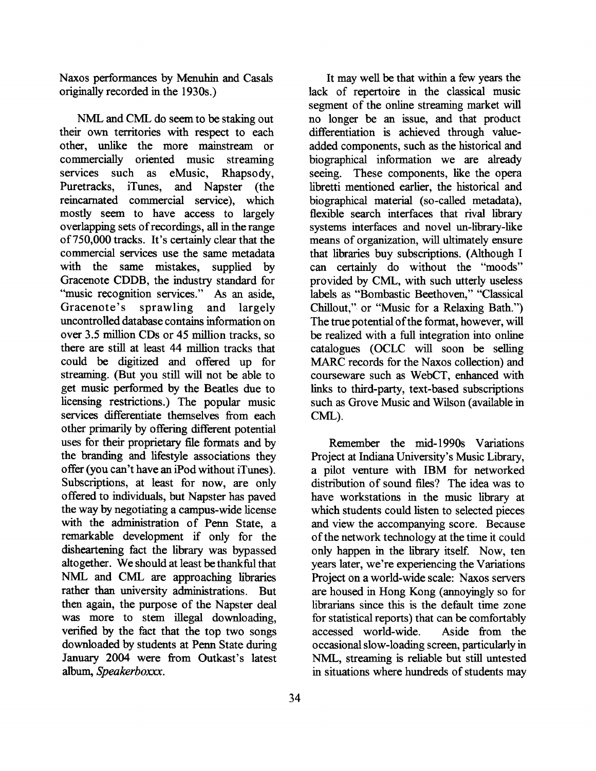Naxos performances by Menuhin and Casals originally recorded in the 1930s.)

NML and CML do seem to be staking out their own territories with respect to each other, unlike the more mainstream or commercially oriented music streaming services such as eMusic, Rhapsody, Puretracks, iTunes, and Napster (the reincarnated commercial service), which mostly seem to have access to largely overlapping sets of recordings, all in the range of 750,000 tracks. It's certainly clear that the commercial services use the same metadata with the same mistakes, supplied by Gracenote CDDB, the industry standard for "music recognition services." **As** an aside, Gracenote's sprawling and largely uncontrolled database contains information on over 3.5 million CDs or 45 million tracks, so there are still at least 44 million tracks that could be digitized and offered up for streaming. (But you still will not be able to get music performed by the Beatles due to licensing restrictions.) The popular music services differentiate themselves from each other primarily by offering different potential uses for their proprietary file formats and by the branding and lifestyle associations they offer (you can't have an iPod without iTunes). Subscriptions, at least for now, are only offered to individuals, but Napster has paved the way by negotiating a campus-wide license with the administration of **Penn** State, a remarkable development if only for the disheartening fact the library was bypassed altogether. We should at least be thankful that NML and CML are approaching libraries rather than university administrations. But then again, the purpose of the Napster deal was more to stem illegal downloading, verified by the fact that the top two songs downloaded by students at Penn State during January 2004 were from Outkast's latest album, *Speakerboxxx.* 

It may well be that within a few years the lack of repertoire in the classical music segment of the online streaming market will no longer be an issue, and that product differentiation is achieved through valueadded components, such as the historical and biographical information we are already seeing. These components, like the opera libretti mentioned earlier, the historical and biographical material (so-called metadata), flexible search interfaces that rival library systems interfaces and novel un-library-like means of organization, will ultimately ensure that libraries buy subscriptions. (Although I can certainly do without the "moods" provided by CML, with such utterly useless labels as "Bombastic Beethoven," "Classical Chillout," or "Music for a Relaxing Bath.") The true potential of the format, however, will be realized with a full integration into online catalogues (OCLC will soon be selling **MARC** records for the Naxos collection) and courseware such as WebCT, enhanced with links to third-party, text-based subscriptions such as Grove Music and Wilson (available in CML).

Remember the mid- 1990s Variations Project at Indiana University's Music Library, a pilot venture with IBM for networked distribution of sound **files?** The idea was to have workstations in the music library at which students could listen to selected pieces and view the accompanying score. Because of the network technology at the time it could only happen in the library itself. Now, ten years later, we're experiencing the Variations Project on a world-wide scale: Naxos servers are housed in Hong Kong (annoyingly so for librarians since this is the default time zone for statistical reports) that can be comfortably accessed world-wide. Aside from the occasional slow-loading screen, particularly in NML, streaming is reliable but still untested in situations where hundreds of students may